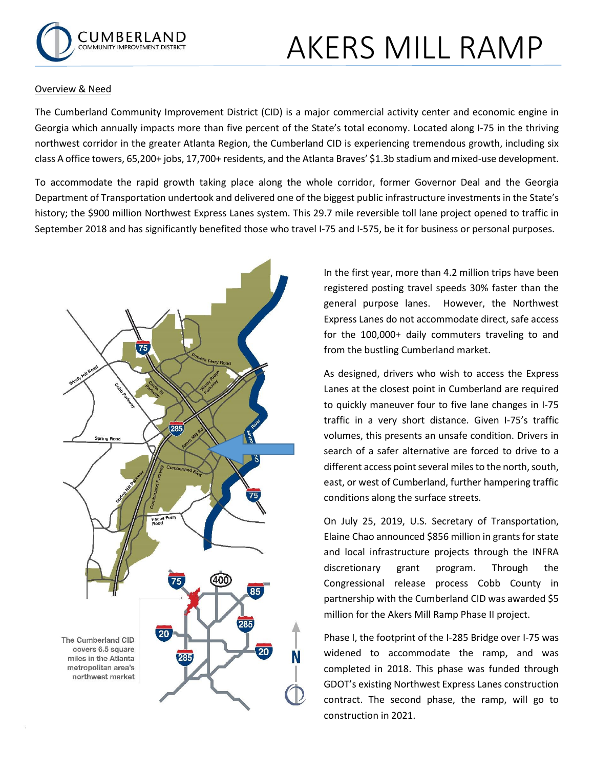

## AKERS MILL RAMP

## Overview & Need

The Cumberland Community Improvement District (CID) is a major commercial activity center and economic engine in Georgia which annually impacts more than five percent of the State's total economy. Located along I-75 in the thriving northwest corridor in the greater Atlanta Region, the Cumberland CID is experiencing tremendous growth, including six class A office towers, 65,200+ jobs, 17,700+ residents, and the Atlanta Braves' \$1.3b stadium and mixed-use development.

To accommodate the rapid growth taking place along the whole corridor, former Governor Deal and the Georgia Department of Transportation undertook and delivered one of the biggest public infrastructure investments in the State's history; the \$900 million Northwest Express Lanes system. This 29.7 mile reversible toll lane project opened to traffic in September 2018 and has significantly benefited those who travel I-75 and I-575, be it for business or personal purposes.



In the first year, more than 4.2 million trips have been registered posting travel speeds 30% faster than the general purpose lanes. However, the Northwest Express Lanes do not accommodate direct, safe access for the 100,000+ daily commuters traveling to and from the bustling Cumberland market.

As designed, drivers who wish to access the Express Lanes at the closest point in Cumberland are required to quickly maneuver four to five lane changes in I-75 traffic in a very short distance. Given I-75's traffic volumes, this presents an unsafe condition. Drivers in search of a safer alternative are forced to drive to a different access point several miles to the north, south, east, or west of Cumberland, further hampering traffic conditions along the surface streets.

On July 25, 2019, U.S. Secretary of Transportation, Elaine Chao announced \$856 million in grants for state and local infrastructure projects through the INFRA discretionary grant program. Through the Congressional release process Cobb County in partnership with the Cumberland CID was awarded \$5 million for the Akers Mill Ramp Phase II project.

Phase I, the footprint of the I-285 Bridge over I-75 was widened to accommodate the ramp, and was completed in 2018. This phase was funded through GDOT's existing Northwest Express Lanes construction contract. The second phase, the ramp, will go to construction in 2021.